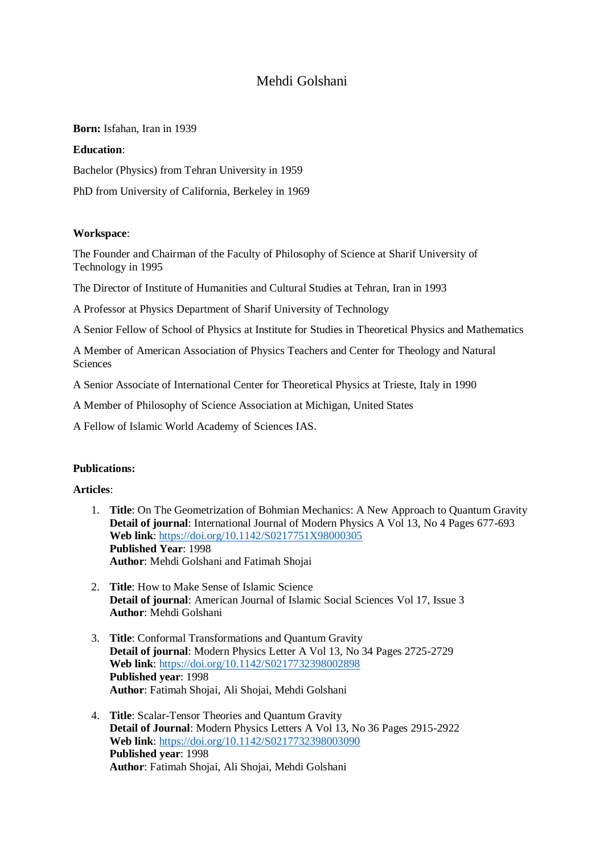## Mehdi Golshani

**Born:** Isfahan, Iran in 1939

## **Education**:

Bachelor (Physics) from Tehran University in 1959

PhD from University of California, Berkeley in 1969

## **Workspace**:

The Founder and Chairman of the Faculty of Philosophy of Science at Sharif University of Technology in 1995

The Director of Institute of Humanities and Cultural Studies at Tehran, Iran in 1993

A Professor at Physics Department of Sharif University of Technology

A Senior Fellow of School of Physics at Institute for Studies in Theoretical Physics and Mathematics

A Member of American Association of Physics Teachers and Center for Theology and Natural Sciences

A Senior Associate of International Center for Theoretical Physics at Trieste, Italy in 1990

A Member of Philosophy of Science Association at Michigan, United States

A Fellow of Islamic World Academy of Sciences IAS.

## **Publications:**

**Articles**:

- 1. **Title**: On The Geometrization of Bohmian Mechanics: A New Approach to Quantum Gravity **Detail of journal**: International Journal of Modern Physics A Vol 13, No 4 Pages 677-693 **Web link**: <https://doi.org/10.1142/S0217751X98000305> **Published Year**: 1998 **Author**: Mehdi Golshani and Fatimah Shojai
- 2. **Title**: How to Make Sense of Islamic Science **Detail of journal**: American Journal of Islamic Social Sciences Vol 17, Issue 3 **Author**: Mehdi Golshani
- 3. **Title**: Conformal Transformations and Quantum Gravity **Detail of journal**: Modern Physics Letter A Vol 13, No 34 Pages 2725-2729 **Web link**:<https://doi.org/10.1142/S0217732398002898> **Published year**: 1998 **Author**: Fatimah Shojai, Ali Shojai, Mehdi Golshani
- 4. **Title**: Scalar-Tensor Theories and Quantum Gravity **Detail of Journal**: Modern Physics Letters A Vol 13, No 36 Pages 2915-2922 **Web link**:<https://doi.org/10.1142/S0217732398003090> **Published year**: 1998 **Author**: Fatimah Shojai, Ali Shojai, Mehdi Golshani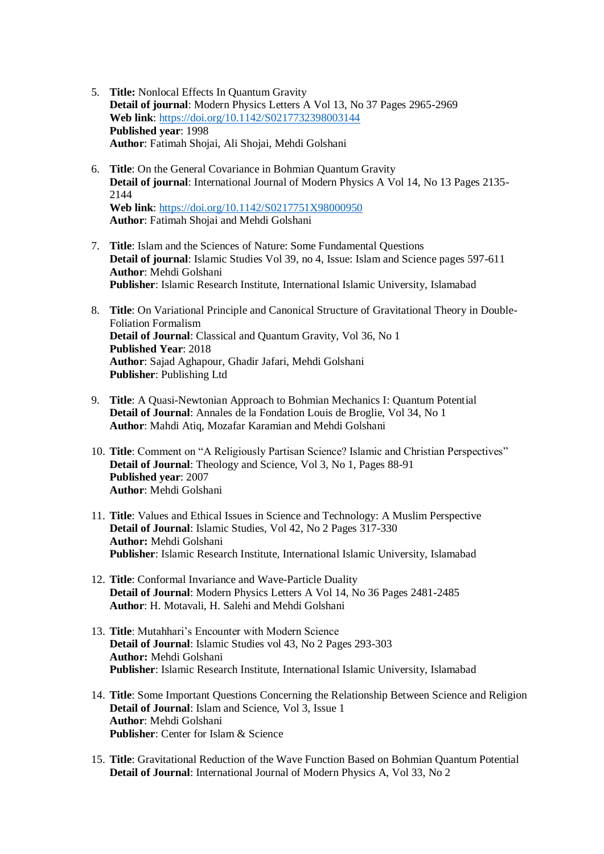- 5. **Title:** Nonlocal Effects In Quantum Gravity **Detail of journal**: Modern Physics Letters A Vol 13, No 37 Pages 2965-2969 **Web link**:<https://doi.org/10.1142/S0217732398003144> **Published year**: 1998 **Author**: Fatimah Shojai, Ali Shojai, Mehdi Golshani
- 6. **Title**: On the General Covariance in Bohmian Quantum Gravity **Detail of journal**: International Journal of Modern Physics A Vol 14, No 13 Pages 2135- 2144 **Web link**:<https://doi.org/10.1142/S0217751X98000950> **Author**: Fatimah Shojai and Mehdi Golshani
- 7. **Title**: Islam and the Sciences of Nature: Some Fundamental Questions **Detail of journal**: Islamic Studies Vol 39, no 4, Issue: Islam and Science pages 597-611 **Author**: Mehdi Golshani **Publisher**: Islamic Research Institute, International Islamic University, Islamabad
- 8. **Title**: On Variational Principle and Canonical Structure of Gravitational Theory in Double-Foliation Formalism **Detail of Journal**: Classical and Quantum Gravity, Vol 36, No 1 **Published Year**: 2018 **Author**: Sajad Aghapour, Ghadir Jafari, Mehdi Golshani **Publisher**: Publishing Ltd
- 9. **Title**: A Quasi-Newtonian Approach to Bohmian Mechanics I: Quantum Potential **Detail of Journal**: Annales de la Fondation Louis de Broglie, Vol 34, No 1 **Author**: Mahdi Atiq, Mozafar Karamian and Mehdi Golshani
- 10. **Title**: Comment on "A Religiously Partisan Science? Islamic and Christian Perspectives" **Detail of Journal**: Theology and Science, Vol 3, No 1, Pages 88-91 **Published year**: 2007 **Author**: Mehdi Golshani
- 11. **Title**: Values and Ethical Issues in Science and Technology: A Muslim Perspective **Detail of Journal**: Islamic Studies, Vol 42, No 2 Pages 317-330 **Author:** Mehdi Golshani **Publisher**: Islamic Research Institute, International Islamic University, Islamabad
- 12. **Title**: Conformal Invariance and Wave-Particle Duality **Detail of Journal**: Modern Physics Letters A Vol 14, No 36 Pages 2481-2485 **Author**: H. Motavali, H. Salehi and Mehdi Golshani
- 13. **Title**: Mutahhari's Encounter with Modern Science **Detail of Journal**: Islamic Studies vol 43, No 2 Pages 293-303 **Author:** Mehdi Golshani **Publisher**: Islamic Research Institute, International Islamic University, Islamabad
- 14. **Title**: Some Important Questions Concerning the Relationship Between Science and Religion **Detail of Journal**: Islam and Science, Vol 3, Issue 1 **Author**: Mehdi Golshani **Publisher**: Center for Islam & Science
- 15. **Title**: Gravitational Reduction of the Wave Function Based on Bohmian Quantum Potential **Detail of Journal**: International Journal of Modern Physics A, Vol 33, No 2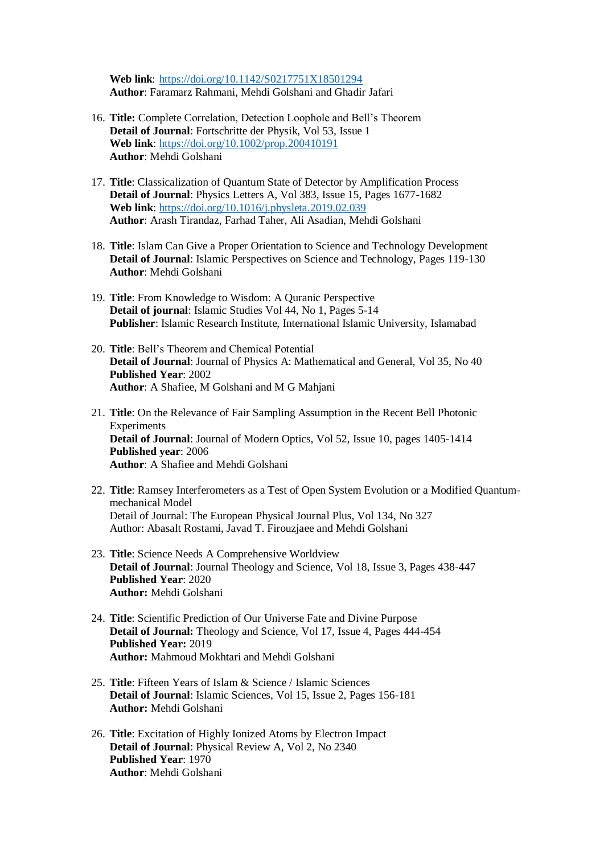**Web link**:<https://doi.org/10.1142/S0217751X18501294> **Author**: Faramarz Rahmani, Mehdi Golshani and Ghadir Jafari

- 16. **Title:** Complete Correlation, Detection Loophole and Bell's Theorem **Detail of Journal**: Fortschritte der Physik, Vol 53, Issue 1 **Web link**:<https://doi.org/10.1002/prop.200410191> **Author**: Mehdi Golshani
- 17. **Title**: Classicalization of Quantum State of Detector by Amplification Process **Detail of Journal**: Physics Letters A, Vol 383, Issue 15, Pages 1677-1682 **Web link**:<https://doi.org/10.1016/j.physleta.2019.02.039> **Author**: Arash Tirandaz, Farhad Taher, Ali Asadian, Mehdi Golshani
- 18. **Title**: Islam Can Give a Proper Orientation to Science and Technology Development **Detail of Journal**: Islamic Perspectives on Science and Technology, Pages 119-130 **Author**: Mehdi Golshani
- 19. **Title**: From Knowledge to Wisdom: A Quranic Perspective **Detail of journal**: Islamic Studies Vol 44, No 1, Pages 5-14 **Publisher**: Islamic Research Institute, International Islamic University, Islamabad
- 20. **Title**: Bell's Theorem and Chemical Potential **Detail of Journal**: Journal of Physics A: Mathematical and General, Vol 35, No 40 **Published Year**: 2002 **Author**: A Shafiee, M Golshani and M G Mahjani
- 21. **Title**: On the Relevance of Fair Sampling Assumption in the Recent Bell Photonic Experiments **Detail of Journal**: Journal of Modern Optics, Vol 52, Issue 10, pages 1405-1414 **Published year**: 2006 **Author**: A Shafiee and Mehdi Golshani
- 22. **Title**: Ramsey Interferometers as a Test of Open System Evolution or a Modified Quantummechanical Model Detail of Journal: The European Physical Journal Plus, Vol 134, No 327 Author: Abasalt Rostami, Javad T. Firouzjaee and Mehdi Golshani
- 23. **Title**: Science Needs A Comprehensive Worldview **Detail of Journal**: Journal Theology and Science, Vol 18, Issue 3, Pages 438-447 **Published Year**: 2020 **Author:** Mehdi Golshani
- 24. **Title**: Scientific Prediction of Our Universe Fate and Divine Purpose **Detail of Journal:** Theology and Science, Vol 17, Issue 4, Pages 444-454 **Published Year:** 2019 **Author:** Mahmoud Mokhtari and Mehdi Golshani
- 25. **Title**: Fifteen Years of Islam & Science / Islamic Sciences **Detail of Journal**: Islamic Sciences, Vol 15, Issue 2, Pages 156-181 **Author:** Mehdi Golshani
- 26. **Title**: Excitation of Highly Ionized Atoms by Electron Impact **Detail of Journal**: Physical Review A, Vol 2, No 2340 **Published Year**: 1970 **Author**: Mehdi Golshani